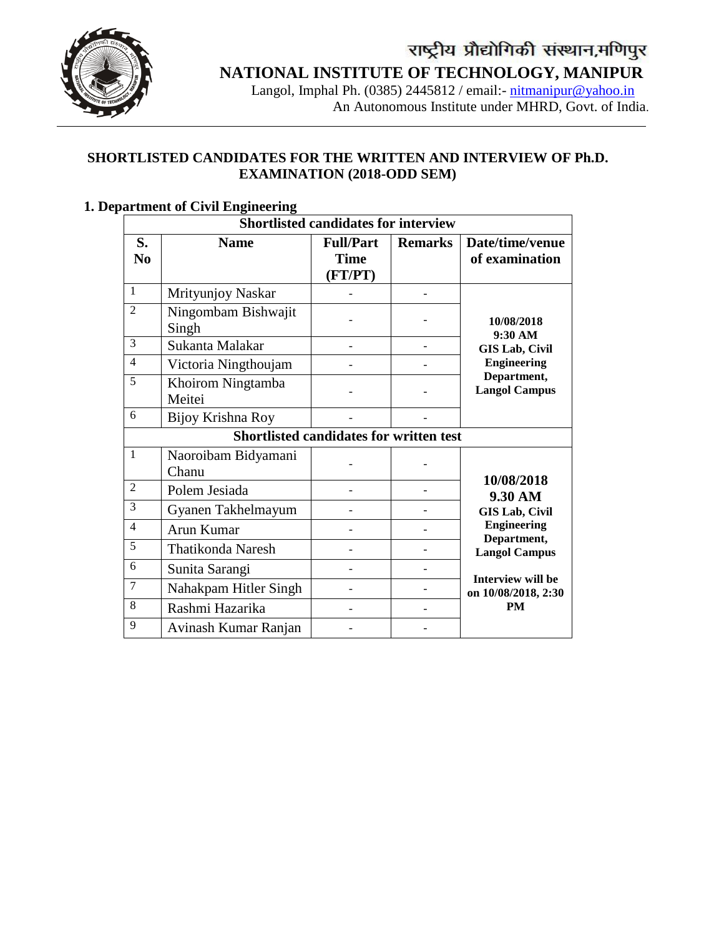

## **NATIONAL INSTITUTE OF TECHNOLOGY, MANIPUR**

 Langol, Imphal Ph. (0385) 2445812 / email:- [nitmanipur@yahoo.in](mailto:nitmanipur@yahoo.in) An Autonomous Institute under MHRD, Govt. of India.

#### **SHORTLISTED CANDIDATES FOR THE WRITTEN AND INTERVIEW OF Ph.D. EXAMINATION (2018-ODD SEM)**

|                      | <b>Shortlisted candidates for interview</b>    |                                            |                |                                          |  |  |  |
|----------------------|------------------------------------------------|--------------------------------------------|----------------|------------------------------------------|--|--|--|
| S.<br>N <sub>0</sub> | <b>Name</b>                                    | <b>Full/Part</b><br><b>Time</b><br>(FT/PT) | <b>Remarks</b> | Date/time/venue<br>of examination        |  |  |  |
| $\mathbf{1}$         | Mrityunjoy Naskar                              |                                            |                |                                          |  |  |  |
| $\overline{2}$       | Ningombam Bishwajit<br>Singh                   |                                            |                | 10/08/2018<br>9:30 AM                    |  |  |  |
| 3                    | Sukanta Malakar                                |                                            |                | <b>GIS Lab, Civil</b>                    |  |  |  |
| $\overline{4}$       | Victoria Ningthoujam                           |                                            |                | <b>Engineering</b>                       |  |  |  |
| 5                    | Khoirom Ningtamba<br>Meitei                    |                                            |                | Department,<br><b>Langol Campus</b>      |  |  |  |
| 6                    | Bijoy Krishna Roy                              |                                            |                |                                          |  |  |  |
|                      | <b>Shortlisted candidates for written test</b> |                                            |                |                                          |  |  |  |
| 1                    | Naoroibam Bidyamani<br>Chanu                   |                                            |                |                                          |  |  |  |
| 2                    | Polem Jesiada                                  |                                            |                | 10/08/2018<br>9.30 AM                    |  |  |  |
| 3                    | Gyanen Takhelmayum                             |                                            |                | <b>GIS Lab, Civil</b>                    |  |  |  |
| $\overline{4}$       | Arun Kumar                                     |                                            |                | <b>Engineering</b>                       |  |  |  |
| 5                    | <b>Thatikonda Naresh</b>                       |                                            |                | Department,<br><b>Langol Campus</b>      |  |  |  |
| 6                    | Sunita Sarangi                                 |                                            |                |                                          |  |  |  |
| $\overline{7}$       | Nahakpam Hitler Singh                          |                                            |                | Interview will be<br>on 10/08/2018, 2:30 |  |  |  |
| 8                    | Rashmi Hazarika                                |                                            |                | <b>PM</b>                                |  |  |  |
| 9                    | Avinash Kumar Ranjan                           |                                            |                |                                          |  |  |  |

### **1. Department of Civil Engineering**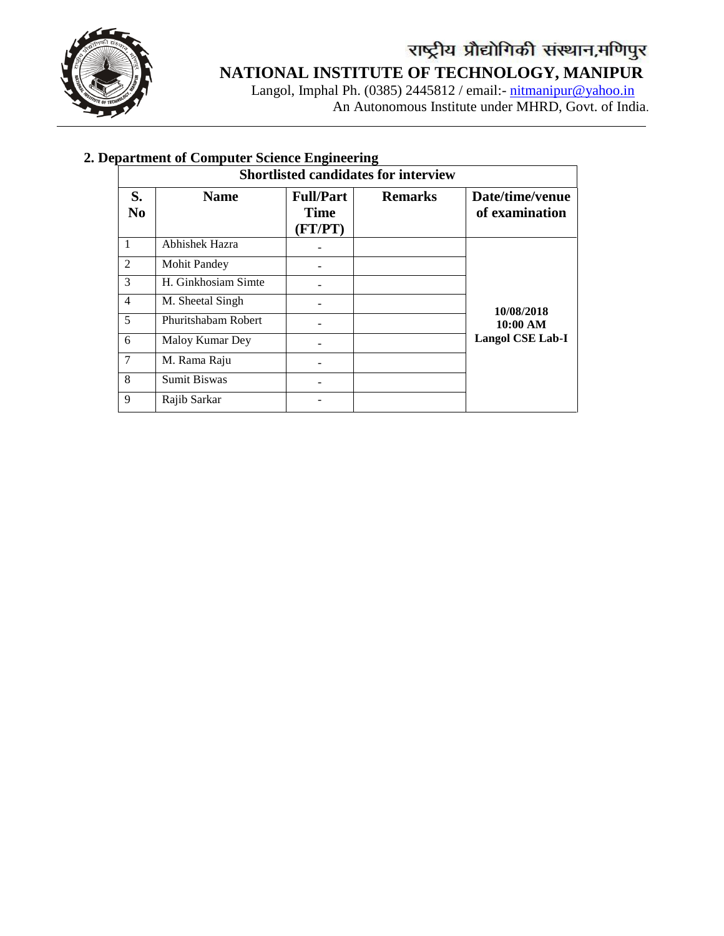

 Langol, Imphal Ph. (0385) 2445812 / email:- [nitmanipur@yahoo.in](mailto:nitmanipur@yahoo.in) An Autonomous Institute under MHRD, Govt. of India.

|                      | <b>Shortlisted candidates for interview</b> |                                            |                |                                   |  |  |
|----------------------|---------------------------------------------|--------------------------------------------|----------------|-----------------------------------|--|--|
| S.<br>N <sub>0</sub> | <b>Name</b>                                 | <b>Full/Part</b><br><b>Time</b><br>(FT/PT) | <b>Remarks</b> | Date/time/venue<br>of examination |  |  |
| 1                    | Abhishek Hazra                              |                                            |                |                                   |  |  |
| 2                    | <b>Mohit Pandey</b>                         |                                            |                |                                   |  |  |
| 3                    | H. Ginkhosiam Simte                         |                                            |                |                                   |  |  |
| $\overline{4}$       | M. Sheetal Singh                            |                                            |                | 10/08/2018                        |  |  |
| 5                    | Phuritshabam Robert                         |                                            |                | 10:00 AM                          |  |  |
| 6                    | Maloy Kumar Dey                             |                                            |                | <b>Langol CSE Lab-I</b>           |  |  |
| 7                    | M. Rama Raju                                |                                            |                |                                   |  |  |
| 8                    | <b>Sumit Biswas</b>                         |                                            |                |                                   |  |  |
| 9                    | Rajib Sarkar                                |                                            |                |                                   |  |  |

### **2. Department of Computer Science Engineering**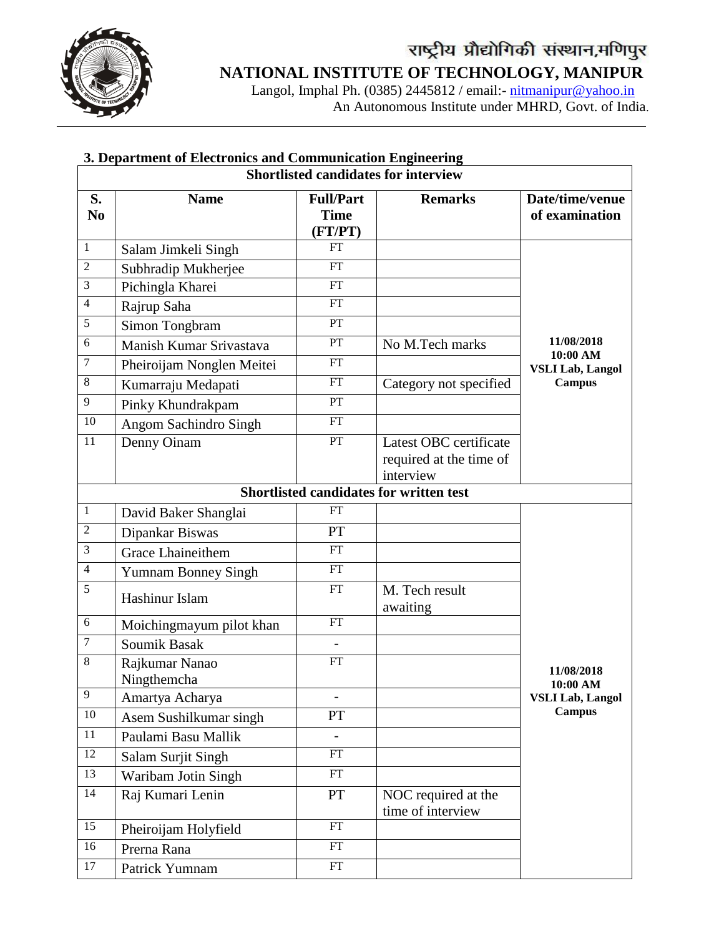

Langol, Imphal Ph. (0385) 2445812 / email:- **[nitmanipur@yahoo.in](mailto:nitmanipur@yahoo.in)** An Autonomous Institute under MHRD, Govt. of India.

| 3. Department of Electronics and Communication Engineering |                            |                                            |                                                                |                                     |  |  |  |
|------------------------------------------------------------|----------------------------|--------------------------------------------|----------------------------------------------------------------|-------------------------------------|--|--|--|
| <b>Shortlisted candidates for interview</b>                |                            |                                            |                                                                |                                     |  |  |  |
| S.<br>N <sub>0</sub>                                       | <b>Name</b>                | <b>Full/Part</b><br><b>Time</b><br>(FT/PT) | <b>Remarks</b>                                                 | Date/time/venue<br>of examination   |  |  |  |
| $\mathbf{1}$                                               | Salam Jimkeli Singh        | FT                                         |                                                                |                                     |  |  |  |
| $\overline{2}$                                             | Subhradip Mukherjee        | FT                                         |                                                                |                                     |  |  |  |
| 3                                                          | Pichingla Kharei           | FT                                         |                                                                |                                     |  |  |  |
| $\overline{4}$                                             | Rajrup Saha                | FT                                         |                                                                |                                     |  |  |  |
| 5                                                          | Simon Tongbram             | PT                                         |                                                                |                                     |  |  |  |
| 6                                                          | Manish Kumar Srivastava    | PT                                         | No M.Tech marks                                                | 11/08/2018                          |  |  |  |
| $\tau$                                                     | Pheiroijam Nonglen Meitei  | FT                                         |                                                                | 10:00 AM<br><b>VSLI Lab, Langol</b> |  |  |  |
| 8                                                          | Kumarraju Medapati         | FT                                         | Category not specified                                         | Campus                              |  |  |  |
| $\overline{9}$                                             | Pinky Khundrakpam          | PT                                         |                                                                |                                     |  |  |  |
| 10                                                         | Angom Sachindro Singh      | FT                                         |                                                                |                                     |  |  |  |
| 11                                                         | Denny Oinam                | PT                                         | Latest OBC certificate<br>required at the time of<br>interview |                                     |  |  |  |
|                                                            |                            |                                            | Shortlisted candidates for written test                        |                                     |  |  |  |
| $\mathbf{1}$                                               | David Baker Shanglai       | <b>FT</b>                                  |                                                                |                                     |  |  |  |
| $\mathfrak{2}$                                             | Dipankar Biswas            | PT                                         |                                                                |                                     |  |  |  |
| $\mathfrak{Z}$                                             | <b>Grace Lhaineithem</b>   | FT                                         |                                                                |                                     |  |  |  |
| $\overline{4}$                                             | <b>Yumnam Bonney Singh</b> | FT                                         |                                                                |                                     |  |  |  |
| $\overline{5}$                                             | Hashinur Islam             | FT                                         | M. Tech result<br>awaiting                                     |                                     |  |  |  |
| $6\,$                                                      | Moichingmayum pilot khan   | FT                                         |                                                                |                                     |  |  |  |
| $\overline{7}$                                             | Soumik Basak               | $\overline{a}$                             |                                                                |                                     |  |  |  |
| 8                                                          | Rajkumar Nanao             | <b>FT</b>                                  |                                                                | 11/08/2018                          |  |  |  |
|                                                            | Ningthemcha                |                                            |                                                                | 10:00 AM                            |  |  |  |
| 9                                                          | Amartya Acharya            |                                            |                                                                | <b>VSLI Lab, Langol</b>             |  |  |  |
| 10                                                         | Asem Sushilkumar singh     | PT                                         |                                                                | <b>Campus</b>                       |  |  |  |
| 11                                                         | Paulami Basu Mallik        | $\overline{a}$                             |                                                                |                                     |  |  |  |
| 12                                                         | Salam Surjit Singh         | FT                                         |                                                                |                                     |  |  |  |
| 13                                                         | Waribam Jotin Singh        | FT                                         |                                                                |                                     |  |  |  |
| 14                                                         | Raj Kumari Lenin           | <b>PT</b>                                  | NOC required at the<br>time of interview                       |                                     |  |  |  |
| 15                                                         | Pheiroijam Holyfield       | FT                                         |                                                                |                                     |  |  |  |
| 16                                                         | Prerna Rana                | FT                                         |                                                                |                                     |  |  |  |
| 17                                                         | Patrick Yumnam             | FT                                         |                                                                |                                     |  |  |  |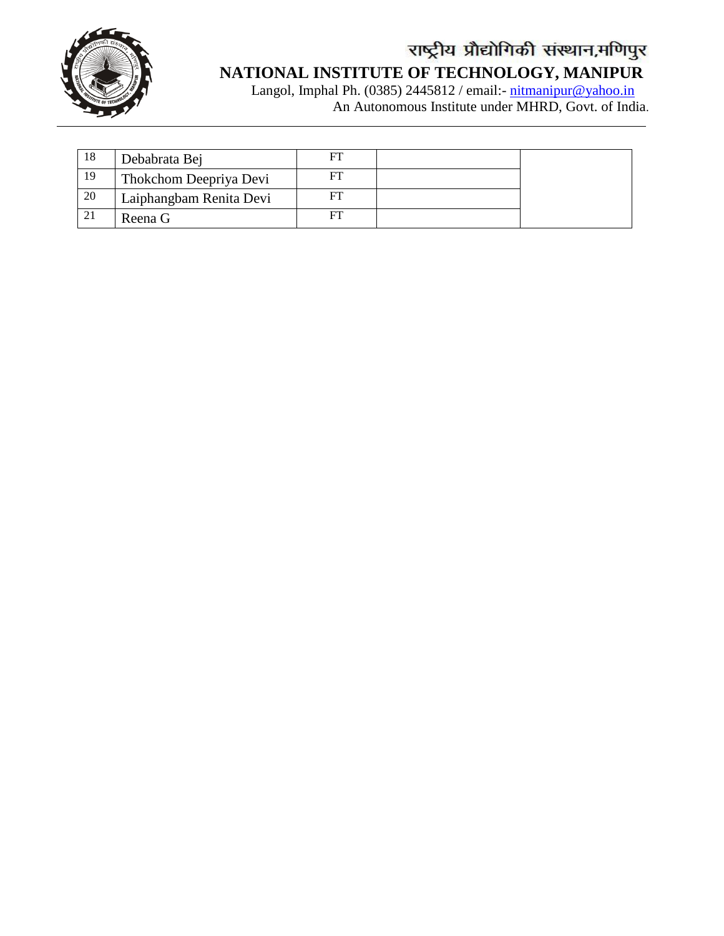

Langol, Imphal Ph. (0385) 2445812 / email:- **[nitmanipur@yahoo.in](mailto:nitmanipur@yahoo.in)** An Autonomous Institute under MHRD, Govt. of India.

| 18 | Debabrata Bej           | FT |  |
|----|-------------------------|----|--|
| 19 | Thokchom Deepriya Devi  |    |  |
| 20 | Laiphangbam Renita Devi |    |  |
|    | Reena G                 |    |  |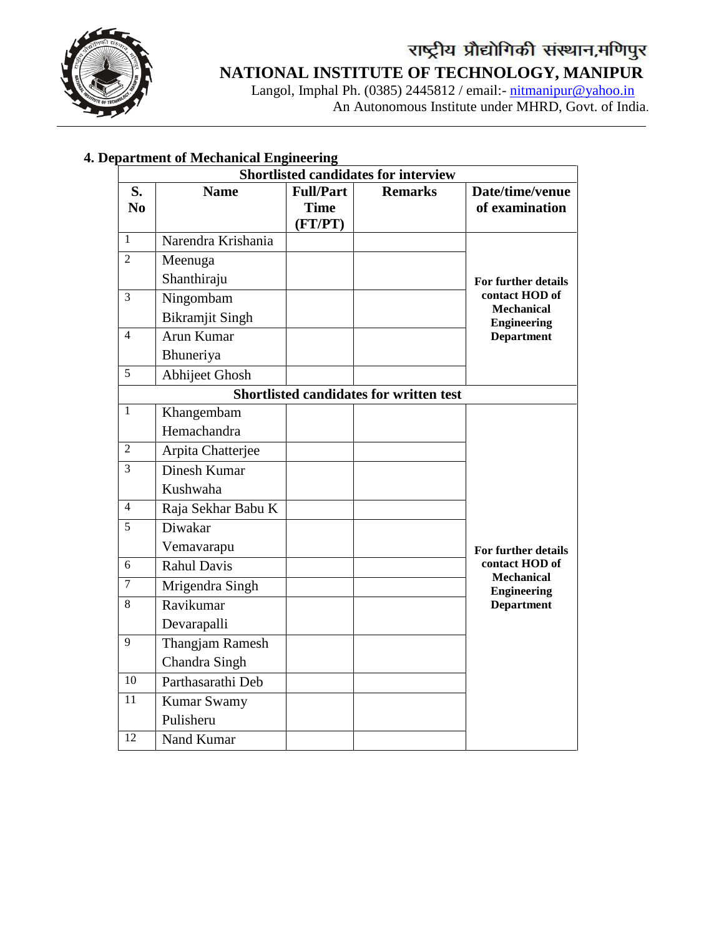

# **NATIONAL INSTITUTE OF TECHNOLOGY, MANIPUR**

Langol, Imphal Ph. (0385) 2445812 / email:- [nitmanipur@yahoo.in](mailto:nitmanipur@yahoo.in) An Autonomous Institute under MHRD, Govt. of India.

|                |                        |                                            | <b>Shortlisted candidates for interview</b>    |                                         |
|----------------|------------------------|--------------------------------------------|------------------------------------------------|-----------------------------------------|
| S.<br>No       | <b>Name</b>            | <b>Full/Part</b><br><b>Time</b><br>(FT/PT) | <b>Remarks</b>                                 | Date/time/venue<br>of examination       |
| $\mathbf{1}$   | Narendra Krishania     |                                            |                                                |                                         |
| $\overline{2}$ | Meenuga                |                                            |                                                |                                         |
|                | Shanthiraju            |                                            |                                                | For further details                     |
| 3              | Ningombam              |                                            |                                                | contact HOD of<br><b>Mechanical</b>     |
|                | <b>Bikramjit Singh</b> |                                            |                                                | <b>Engineering</b>                      |
| $\overline{4}$ | Arun Kumar             |                                            |                                                | <b>Department</b>                       |
|                | Bhuneriya              |                                            |                                                |                                         |
| 5              | <b>Abhijeet Ghosh</b>  |                                            |                                                |                                         |
|                |                        |                                            | <b>Shortlisted candidates for written test</b> |                                         |
| 1              | Khangembam             |                                            |                                                |                                         |
|                | Hemachandra            |                                            |                                                |                                         |
| $\overline{c}$ | Arpita Chatterjee      |                                            |                                                |                                         |
| $\overline{3}$ | <b>Dinesh Kumar</b>    |                                            |                                                |                                         |
|                | Kushwaha               |                                            |                                                |                                         |
| $\overline{4}$ | Raja Sekhar Babu K     |                                            |                                                |                                         |
| $\overline{5}$ | Diwakar                |                                            |                                                |                                         |
|                | Vemavarapu             |                                            |                                                | For further details                     |
| 6              | Rahul Davis            |                                            |                                                | contact HOD of                          |
| $\overline{7}$ | Mrigendra Singh        |                                            |                                                | <b>Mechanical</b><br><b>Engineering</b> |
| 8              | Ravikumar              |                                            |                                                | <b>Department</b>                       |
|                | Devarapalli            |                                            |                                                |                                         |
| $\overline{9}$ | <b>Thangjam Ramesh</b> |                                            |                                                |                                         |
|                | Chandra Singh          |                                            |                                                |                                         |
| 10             | Parthasarathi Deb      |                                            |                                                |                                         |
| 11             | <b>Kumar Swamy</b>     |                                            |                                                |                                         |
|                | Pulisheru              |                                            |                                                |                                         |
| 12             | Nand Kumar             |                                            |                                                |                                         |

### **4. Department of Mechanical Engineering**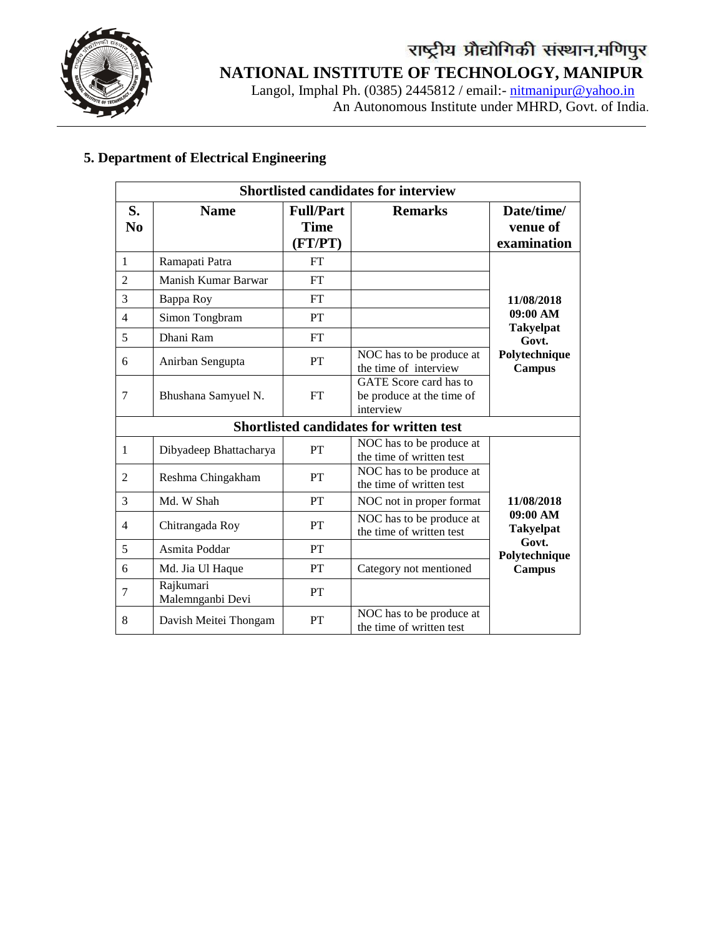

## **NATIONAL INSTITUTE OF TECHNOLOGY, MANIPUR**

 Langol, Imphal Ph. (0385) 2445812 / email:- [nitmanipur@yahoo.in](mailto:nitmanipur@yahoo.in) An Autonomous Institute under MHRD, Govt. of India.

### **5. Department of Electrical Engineering**

|                | <b>Shortlisted candidates for interview</b> |                                            |                                                                  |                                       |  |  |
|----------------|---------------------------------------------|--------------------------------------------|------------------------------------------------------------------|---------------------------------------|--|--|
| S.<br>No       | <b>Name</b>                                 | <b>Full/Part</b><br><b>Time</b><br>(FT/PT) | <b>Remarks</b>                                                   | Date/time/<br>venue of<br>examination |  |  |
| $\mathbf{1}$   | Ramapati Patra                              | FT                                         |                                                                  |                                       |  |  |
| $\overline{2}$ | Manish Kumar Barwar                         | <b>FT</b>                                  |                                                                  |                                       |  |  |
| 3              | Bappa Roy                                   | FT                                         |                                                                  | 11/08/2018                            |  |  |
| $\overline{4}$ | Simon Tongbram                              | PT                                         |                                                                  | 09:00 AM                              |  |  |
| 5              | Dhani Ram                                   | FT                                         |                                                                  | <b>Takyelpat</b><br>Govt.             |  |  |
| 6              | Anirban Sengupta                            | PT                                         | NOC has to be produce at<br>the time of interview                | Polytechnique<br><b>Campus</b>        |  |  |
| 7              | Bhushana Samyuel N.                         | <b>FT</b>                                  | GATE Score card has to<br>be produce at the time of<br>interview |                                       |  |  |
|                |                                             |                                            | Shortlisted candidates for written test                          |                                       |  |  |
| 1              | Dibyadeep Bhattacharya                      | PT                                         | NOC has to be produce at<br>the time of written test             |                                       |  |  |
| $\overline{2}$ | Reshma Chingakham                           | PT                                         | NOC has to be produce at<br>the time of written test             |                                       |  |  |
| 3              | Md. W Shah                                  | PT                                         | NOC not in proper format                                         | 11/08/2018                            |  |  |
| 4              | Chitrangada Roy                             | PT                                         | NOC has to be produce at<br>the time of written test             | 09:00 AM<br><b>Takyelpat</b>          |  |  |
| 5              | Asmita Poddar                               | PT                                         |                                                                  | Govt.<br>Polytechnique                |  |  |
| 6              | Md. Jia Ul Haque                            | PT                                         | Category not mentioned                                           | Campus                                |  |  |
| 7              | Rajkumari<br>Malemnganbi Devi               | PT                                         |                                                                  |                                       |  |  |
| 8              | Davish Meitei Thongam                       | PT                                         | NOC has to be produce at<br>the time of written test             |                                       |  |  |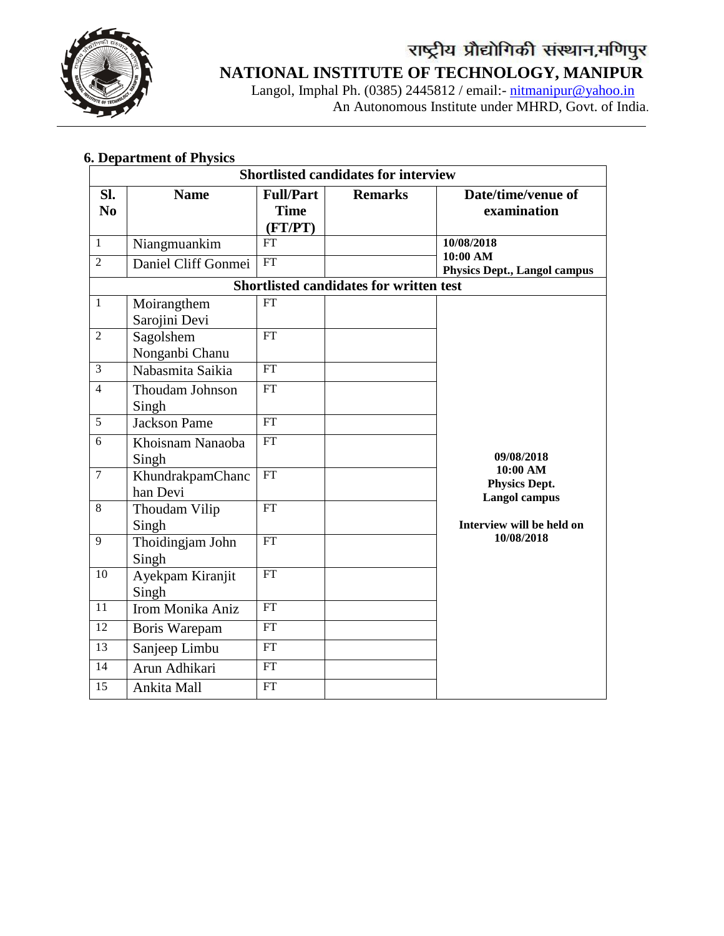

 Langol, Imphal Ph. (0385) 2445812 / email:- [nitmanipur@yahoo.in](mailto:nitmanipur@yahoo.in) An Autonomous Institute under MHRD, Govt. of India.

### **6. Department of Physics**

|                                | <b>Shortlisted candidates for interview</b> |                                            |                                                |                                                               |  |  |  |
|--------------------------------|---------------------------------------------|--------------------------------------------|------------------------------------------------|---------------------------------------------------------------|--|--|--|
| SI.<br>N <sub>0</sub>          | <b>Name</b>                                 | <b>Full/Part</b><br><b>Time</b><br>(FT/PT) | <b>Remarks</b>                                 | Date/time/venue of<br>examination                             |  |  |  |
| $\mathbf{1}$<br>$\overline{2}$ | Niangmuankim<br>Daniel Cliff Gonmei         | <b>FT</b><br>${\rm FT}$                    |                                                | 10/08/2018<br>10:00 AM<br><b>Physics Dept., Langol campus</b> |  |  |  |
|                                |                                             |                                            | <b>Shortlisted candidates for written test</b> |                                                               |  |  |  |
| $\mathbf{1}$                   | Moirangthem<br>Sarojini Devi                | <b>FT</b>                                  |                                                |                                                               |  |  |  |
| $\overline{2}$                 | Sagolshem<br>Nonganbi Chanu                 | <b>FT</b>                                  |                                                |                                                               |  |  |  |
| $\overline{3}$                 | Nabasmita Saikia                            | FT                                         |                                                |                                                               |  |  |  |
| $\overline{4}$                 | Thoudam Johnson<br>Singh                    | <b>FT</b>                                  |                                                |                                                               |  |  |  |
| 5                              | <b>Jackson Pame</b>                         | $\overline{FT}$                            |                                                |                                                               |  |  |  |
| 6                              | Khoisnam Nanaoba<br>Singh                   | <b>FT</b>                                  |                                                | 09/08/2018                                                    |  |  |  |
| $\overline{7}$                 | KhundrakpamChanc<br>han Devi                | FT                                         |                                                | 10:00 AM<br><b>Physics Dept.</b><br>Langol campus             |  |  |  |
| $\overline{8}$                 | Thoudam Vilip<br>Singh                      | $\overline{FT}$                            |                                                | Interview will be held on                                     |  |  |  |
| 9                              | Thoidingjam John<br>Singh                   | FT                                         |                                                | 10/08/2018                                                    |  |  |  |
| 10                             | Ayekpam Kiranjit<br>Singh                   | $\mathop{\rm FT}\nolimits$                 |                                                |                                                               |  |  |  |
| 11                             | Irom Monika Aniz                            | $\overline{FT}$                            |                                                |                                                               |  |  |  |
| $\overline{12}$                | Boris Warepam                               | $\overline{FT}$                            |                                                |                                                               |  |  |  |
| 13                             | Sanjeep Limbu                               | FT                                         |                                                |                                                               |  |  |  |
| 14                             | Arun Adhikari                               | $\overline{FT}$                            |                                                |                                                               |  |  |  |
| $\overline{15}$                | Ankita Mall                                 | $\overline{FT}$                            |                                                |                                                               |  |  |  |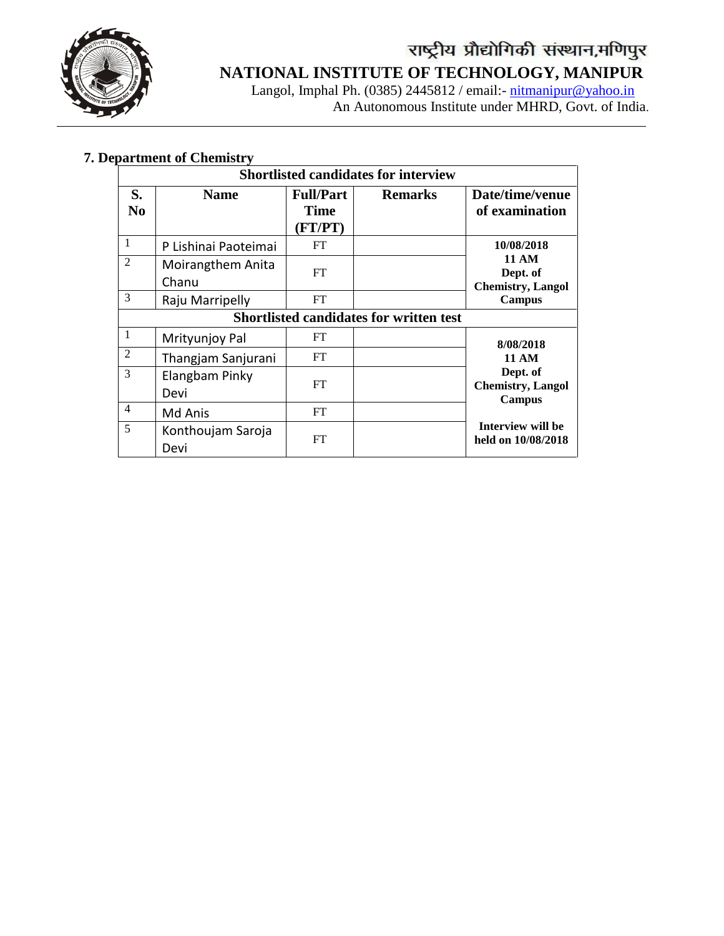

 Langol, Imphal Ph. (0385) 2445812 / email:- [nitmanipur@yahoo.in](mailto:nitmanipur@yahoo.in) An Autonomous Institute under MHRD, Govt. of India.

### **7. Department of Chemistry**

|                | <b>Shortlisted candidates for interview</b> |                                     |                                         |                                                       |  |  |
|----------------|---------------------------------------------|-------------------------------------|-----------------------------------------|-------------------------------------------------------|--|--|
| S.<br>No.      | <b>Name</b>                                 | <b>Full/Part</b><br>Time<br>(FT/PT) | <b>Remarks</b>                          | Date/time/venue<br>of examination                     |  |  |
| $\mathbf{1}$   | P Lishinai Paoteimai                        | FT                                  |                                         | 10/08/2018                                            |  |  |
| $\mathfrak{D}$ | Moirangthem Anita<br>Chanu                  | FT                                  |                                         | <b>11 AM</b><br>Dept. of<br><b>Chemistry</b> , Langol |  |  |
| 3              | Raju Marripelly                             | <b>FT</b>                           |                                         | Campus                                                |  |  |
|                |                                             |                                     | Shortlisted candidates for written test |                                                       |  |  |
| $\mathbf{1}$   | Mrityunjoy Pal                              | FT                                  |                                         | 8/08/2018                                             |  |  |
| $\overline{2}$ | Thangjam Sanjurani                          | FT                                  |                                         | <b>11 AM</b>                                          |  |  |
| 3              | Elangbam Pinky<br>Devi                      | FT                                  |                                         | Dept. of<br><b>Chemistry, Langol</b><br>Campus        |  |  |
| $\overline{4}$ | Md Anis                                     | <b>FT</b>                           |                                         |                                                       |  |  |
| 5              | Konthoujam Saroja<br>Devi                   | <b>FT</b>                           |                                         | Interview will be<br>held on 10/08/2018               |  |  |